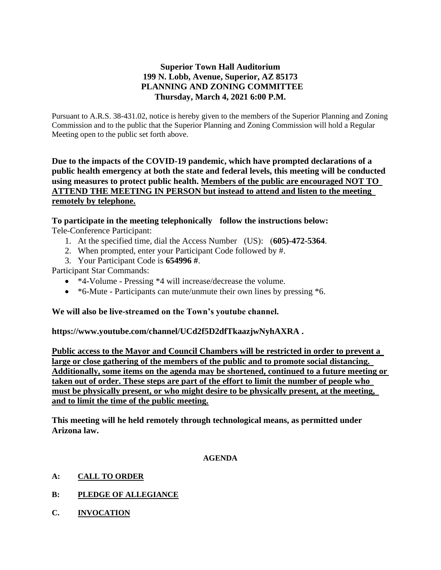# **Superior Town Hall Auditorium 199 N. Lobb, Avenue, Superior, AZ 85173 PLANNING AND ZONING COMMITTEE Thursday, March 4, 2021 6:00 P.M.**

Pursuant to A.R.S. 38-431.02, notice is hereby given to the members of the Superior Planning and Zoning Commission and to the public that the Superior Planning and Zoning Commission will hold a Regular Meeting open to the public set forth above.

**Due to the impacts of the COVID-19 pandemic, which have prompted declarations of a public health emergency at both the state and federal levels, this meeting will be conducted using measures to protect public health. Members of the public are encouraged NOT TO ATTEND THE MEETING IN PERSON but instead to attend and listen to the meeting remotely by telephone.**

# **To participate in the meeting telephonically follow the instructions below:**

Tele-Conference Participant:

- 1. At the specified time, dial the Access Number (US): (**605)-472-5364**.
- 2. When prompted, enter your Participant Code followed by #.
- 3. Your Participant Code is **654996 #**.

Participant Star Commands:

- \*4-Volume Pressing \*4 will increase/decrease the volume.
- \*6-Mute Participants can mute/unmute their own lines by pressing \*6.

## **We will also be live-streamed on the Town's youtube channel.**

**https://www.youtube.com/channel/UCd2f5D2dfTkaazjwNyhAXRA .** 

**Public access to the Mayor and Council Chambers will be restricted in order to prevent a large or close gathering of the members of the public and to promote social distancing. Additionally, some items on the agenda may be shortened, continued to a future meeting or taken out of order. These steps are part of the effort to limit the number of people who must be physically present, or who might desire to be physically present, at the meeting, and to limit the time of the public meeting.**

**This meeting will he held remotely through technological means, as permitted under Arizona law.**

#### **AGENDA**

- **A: CALL TO ORDER**
- **B: PLEDGE OF ALLEGIANCE**
- **C. INVOCATION**